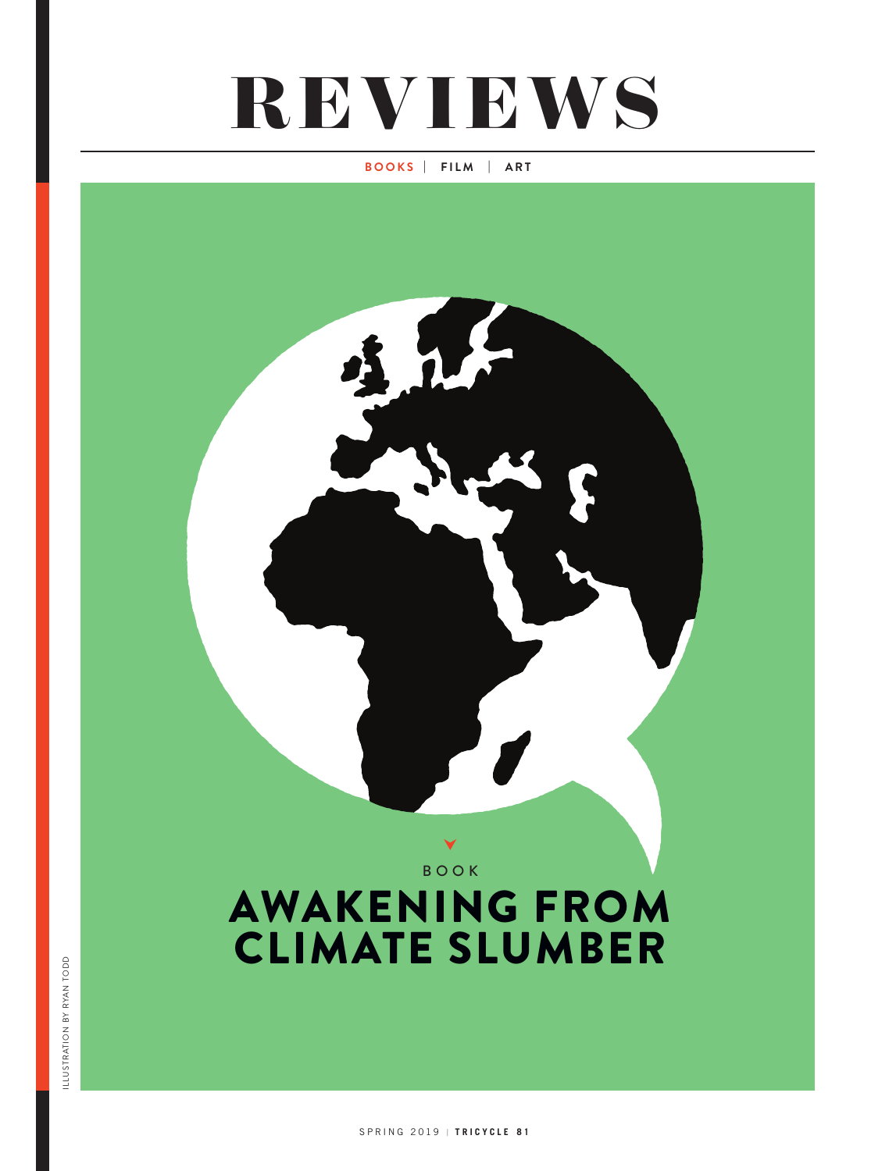## **REVIEWS**

## **BOOKS | FILM | ART**

AWAKENING FROM CLIMATE SLUMBER BOOK Y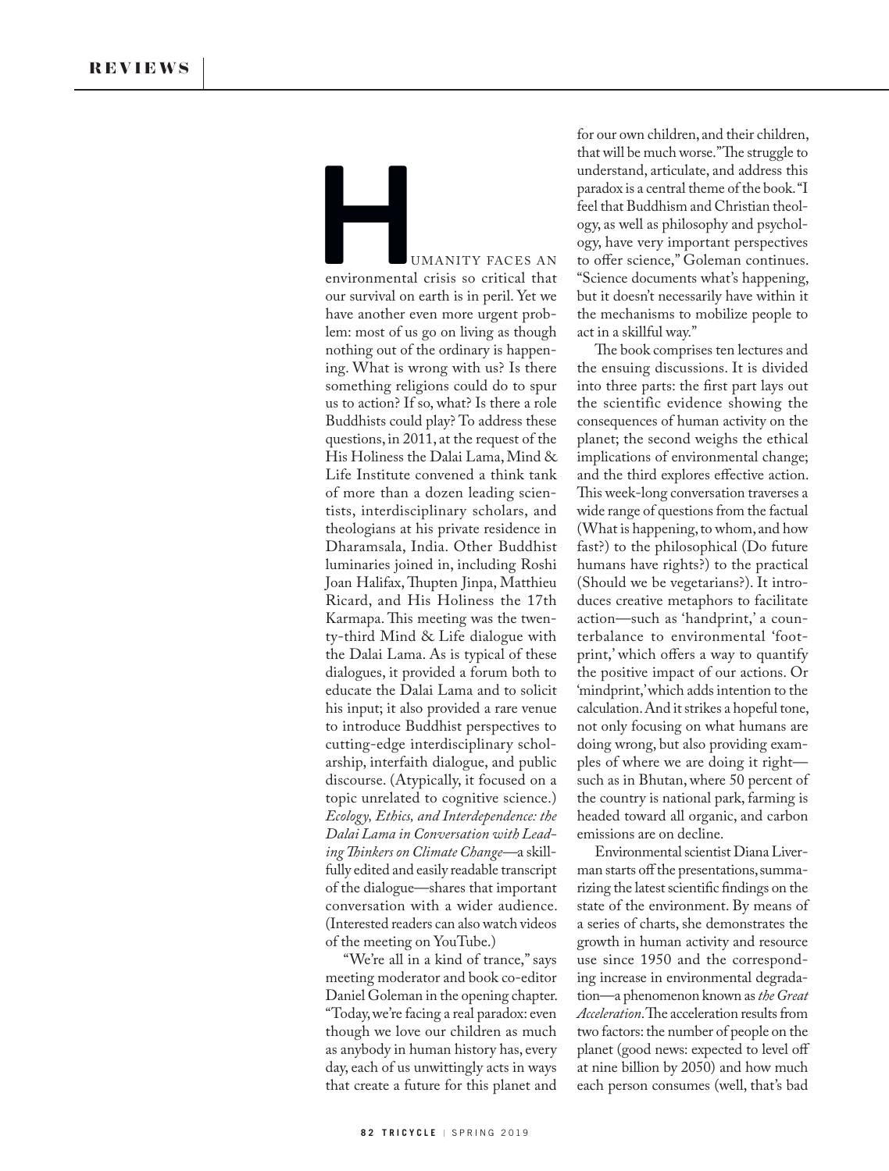UMANITY FACES AN environmental crisis so critical that our survival on earth is in peril. Yet we have another even more urgent problem: most of us go on living as though nothing out of the ordinary is happening. What is wrong with us? Is there something religions could do to spur us to action? If so, what? Is there a role Buddhists could play? To address these questions, in 2011, at the request of the His Holiness the Dalai Lama, Mind & Life Institute convened a think tank of more than a dozen leading scientists, interdisciplinary scholars, and theologians at his private residence in Dharamsala, India. Other Buddhist luminaries joined in, including Roshi Joan Halifax, Thupten Jinpa, Matthieu Ricard, and His Holiness the 17th Karmapa. This meeting was the twenty-third Mind & Life dialogue with the Dalai Lama. As is typical of these dialogues, it provided a forum both to educate the Dalai Lama and to solicit his input; it also provided a rare venue to introduce Buddhist perspectives to cutting-edge interdisciplinary scholarship, interfaith dialogue, and public discourse. (Atypically, it focused on a topic unrelated to cognitive science.) *Ecology, Ethics, and Interdependence: the Dalai Lama in Conversation with Leading Thinkers on Climate Change—*a skillfully edited and easily readable transcript of the dialogue—shares that important conversation with a wider audience. (Interested readers can also watch videos of the meeting on YouTube.) Example 10<br>
environmental<br>
our survival on

"We're all in a kind of trance," says meeting moderator and book co-editor Daniel Goleman in the opening chapter. "Today, we're facing a real paradox: even though we love our children as much as anybody in human history has, every day, each of us unwittingly acts in ways that create a future for this planet and

for our own children, and their children, that will be much worse." The struggle to understand, articulate, and address this paradox is a central theme of the book. "I feel that Buddhism and Christian theology, as well as philosophy and psychology, have very important perspectives to offer science," Goleman continues. "Science documents what's happening, but it doesn't necessarily have within it the mechanisms to mobilize people to act in a skillful way."

The book comprises ten lectures and the ensuing discussions. It is divided into three parts: the first part lays out the scientific evidence showing the consequences of human activity on the planet; the second weighs the ethical implications of environmental change; and the third explores effective action. This week-long conversation traverses a wide range of questions from the factual (What is happening, to whom, and how fast?) to the philosophical (Do future humans have rights?) to the practical (Should we be vegetarians?). It introduces creative metaphors to facilitate action—such as 'handprint,' a counterbalance to environmental 'footprint,' which offers a way to quantify the positive impact of our actions. Or 'mindprint,' which adds intention to the calculation. And it strikes a hopeful tone, not only focusing on what humans are doing wrong, but also providing examples of where we are doing it right such as in Bhutan, where 50 percent of the country is national park, farming is headed toward all organic, and carbon emissions are on decline.

Environmental scientist Diana Liverman starts off the presentations, summarizing the latest scientific findings on the state of the environment. By means of a series of charts, she demonstrates the growth in human activity and resource use since 1950 and the corresponding increase in environmental degradation—a phenomenon known as *the Great Acceleration*. The acceleration results from two factors: the number of people on the planet (good news: expected to level off at nine billion by 2050) and how much each person consumes (well, that's bad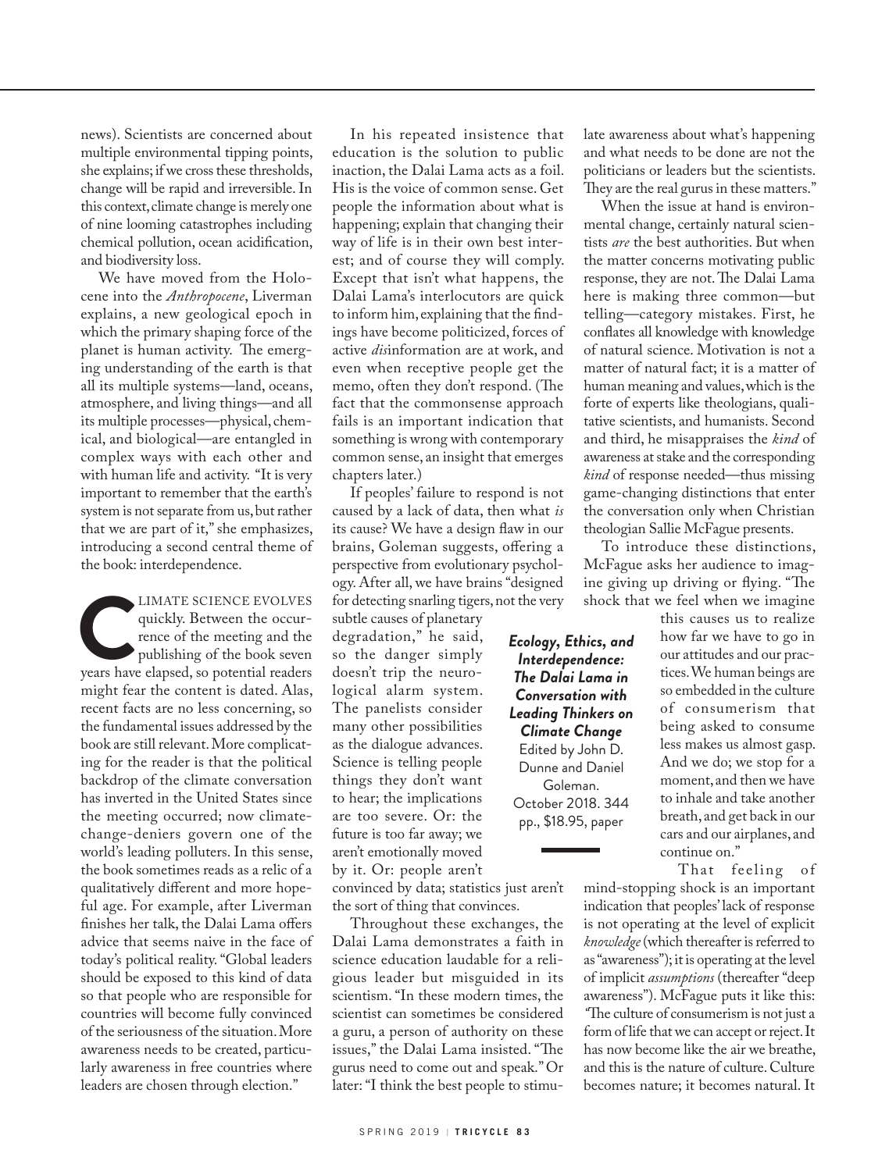news). Scientists are concerned about multiple environmental tipping points, she explains; if we cross these thresholds, change will be rapid and irreversible. In this context, climate change is merely one of nine looming catastrophes including chemical pollution, ocean acidification, and biodiversity loss.

We have moved from the Holocene into the *Anthropocene*, Liverman explains, a new geological epoch in which the primary shaping force of the planet is human activity. The emerging understanding of the earth is that all its multiple systems—land, oceans, atmosphere, and living things—and all its multiple processes—physical, chemical, and biological—are entangled in complex ways with each other and with human life and activity. "It is very important to remember that the earth's system is not separate from us, but rather that we are part of it," she emphasizes, introducing a second central theme of the book: interdependence.

LIMATE SCIENCE EVOLVES<br>
quickly. Between the occurrence of the meeting and the<br>
publishing of the book seven<br>
years have elapsed, so potential readers quickly. Between the occurrence of the meeting and the publishing of the book seven might fear the content is dated. Alas, recent facts are no less concerning, so the fundamental issues addressed by the book are still relevant. More complicating for the reader is that the political backdrop of the climate conversation has inverted in the United States since the meeting occurred; now climatechange-deniers govern one of the world's leading polluters. In this sense, the book sometimes reads as a relic of a qualitatively different and more hopeful age. For example, after Liverman finishes her talk, the Dalai Lama offers advice that seems naive in the face of today's political reality. "Global leaders should be exposed to this kind of data so that people who are responsible for countries will become fully convinced of the seriousness of the situation. More awareness needs to be created, particularly awareness in free countries where leaders are chosen through election."

In his repeated insistence that education is the solution to public inaction, the Dalai Lama acts as a foil. His is the voice of common sense. Get people the information about what is happening; explain that changing their way of life is in their own best interest; and of course they will comply. Except that isn't what happens, the Dalai Lama's interlocutors are quick to inform him, explaining that the findings have become politicized, forces of active *dis*information are at work, and even when receptive people get the memo, often they don't respond. (The fact that the commonsense approach fails is an important indication that something is wrong with contemporary common sense, an insight that emerges chapters later.)

If peoples' failure to respond is not caused by a lack of data, then what *is* its cause? We have a design flaw in our brains, Goleman suggests, offering a perspective from evolutionary psychology. After all, we have brains "designed for detecting snarling tigers, not the very

subtle causes of planetary degradation," he said, so the danger simply doesn't trip the neurological alarm system. The panelists consider many other possibilities as the dialogue advances. Science is telling people things they don't want to hear; the implications are too severe. Or: the future is too far away; we aren't emotionally moved by it. Or: people aren't

convinced by data; statistics just aren't the sort of thing that convinces.

Throughout these exchanges, the Dalai Lama demonstrates a faith in science education laudable for a religious leader but misguided in its scientism. "In these modern times, the scientist can sometimes be considered a guru, a person of authority on these issues," the Dalai Lama insisted. "The gurus need to come out and speak." Or later: "I think the best people to stimulate awareness about what's happening and what needs to be done are not the politicians or leaders but the scientists. They are the real gurus in these matters."

When the issue at hand is environmental change, certainly natural scientists *are* the best authorities. But when the matter concerns motivating public response, they are not. The Dalai Lama here is making three common—but telling—category mistakes. First, he conflates all knowledge with knowledge of natural science. Motivation is not a matter of natural fact; it is a matter of human meaning and values, which is the forte of experts like theologians, qualitative scientists, and humanists. Second and third, he misappraises the *kind* of awareness at stake and the corresponding *kind* of response needed—thus missing game-changing distinctions that enter the conversation only when Christian theologian Sallie McFague presents.

To introduce these distinctions, McFague asks her audience to imagine giving up driving or flying. "The shock that we feel when we imagine

> this causes us to realize how far we have to go in our attitudes and our practices. We human beings are so embedded in the culture of consumerism that being asked to consume less makes us almost gasp. And we do; we stop for a moment, and then we have to inhale and take another breath, and get back in our cars and our airplanes, and continue on."

That feeling of mind-stopping shock is an important indication that peoples' lack of response is not operating at the level of explicit *knowledge* (which thereafter is referred to as "awareness"); it is operating at the level of implicit *assumptions* (thereafter "deep awareness"). McFague puts it like this: *"*The culture of consumerism is not just a form of life that we can accept or reject. It has now become like the air we breathe, and this is the nature of culture. Culture becomes nature; it becomes natural. It

*Interdependence: The Dalai Lama in Conversation with Leading Thinkers on Climate Change* Edited by John D. Dunne and Daniel Goleman. October 2018. 344 pp., \$18.95, paper

*Ecology, Ethics, and*